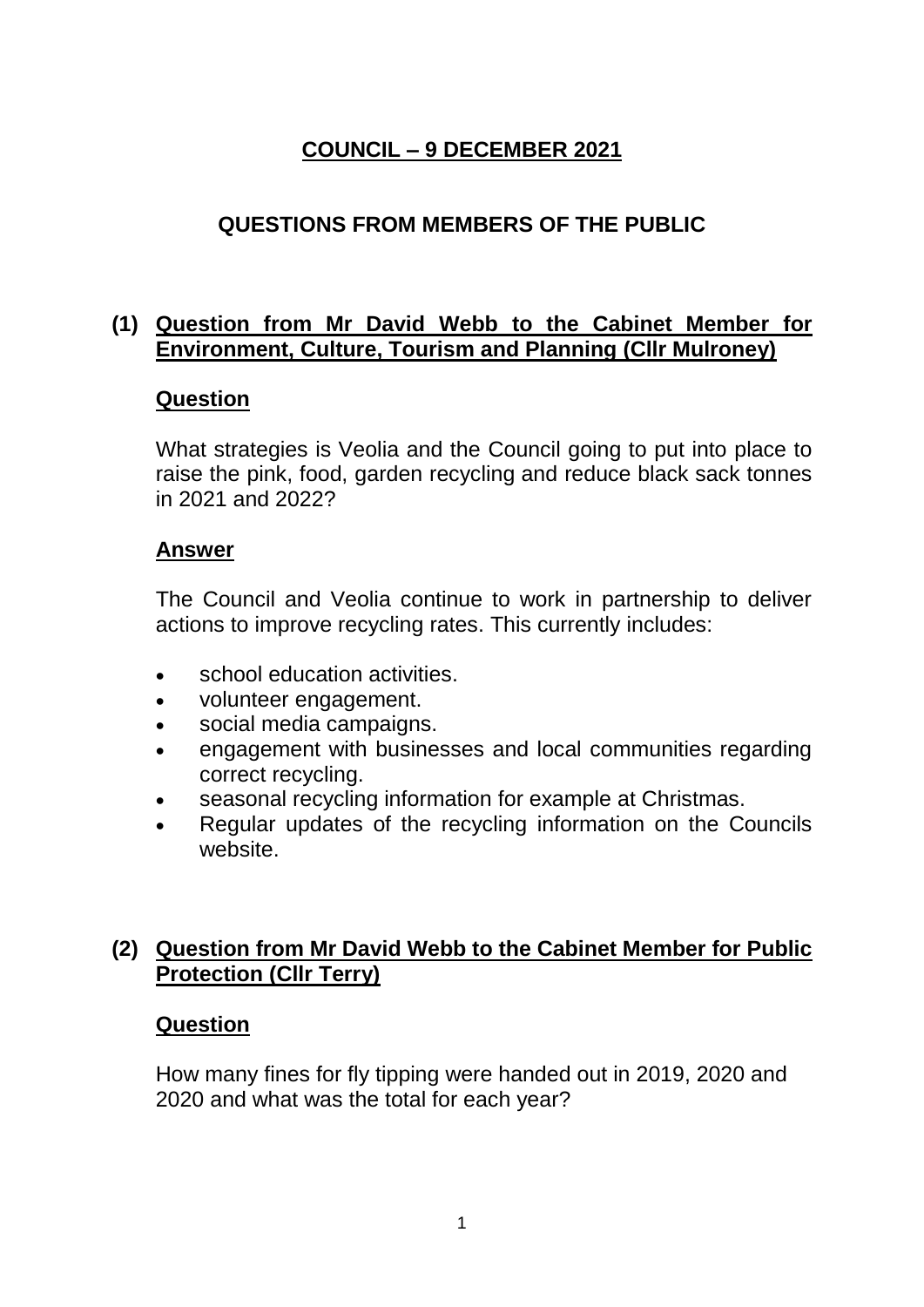# **COUNCIL – 9 DECEMBER 2021**

## **QUESTIONS FROM MEMBERS OF THE PUBLIC**

### **(1) Question from Mr David Webb to the Cabinet Member for Environment, Culture, Tourism and Planning (Cllr Mulroney)**

#### **Question**

What strategies is Veolia and the Council going to put into place to raise the pink, food, garden recycling and reduce black sack tonnes in 2021 and 2022?

#### **Answer**

The Council and Veolia continue to work in partnership to deliver actions to improve recycling rates. This currently includes:

- school education activities.
- volunteer engagement.
- social media campaigns.
- engagement with businesses and local communities regarding correct recycling.
- seasonal recycling information for example at Christmas.
- Regular updates of the recycling information on the Councils website.

### **(2) Question from Mr David Webb to the Cabinet Member for Public Protection (Cllr Terry)**

#### **Question**

How many fines for fly tipping were handed out in 2019, 2020 and 2020 and what was the total for each year?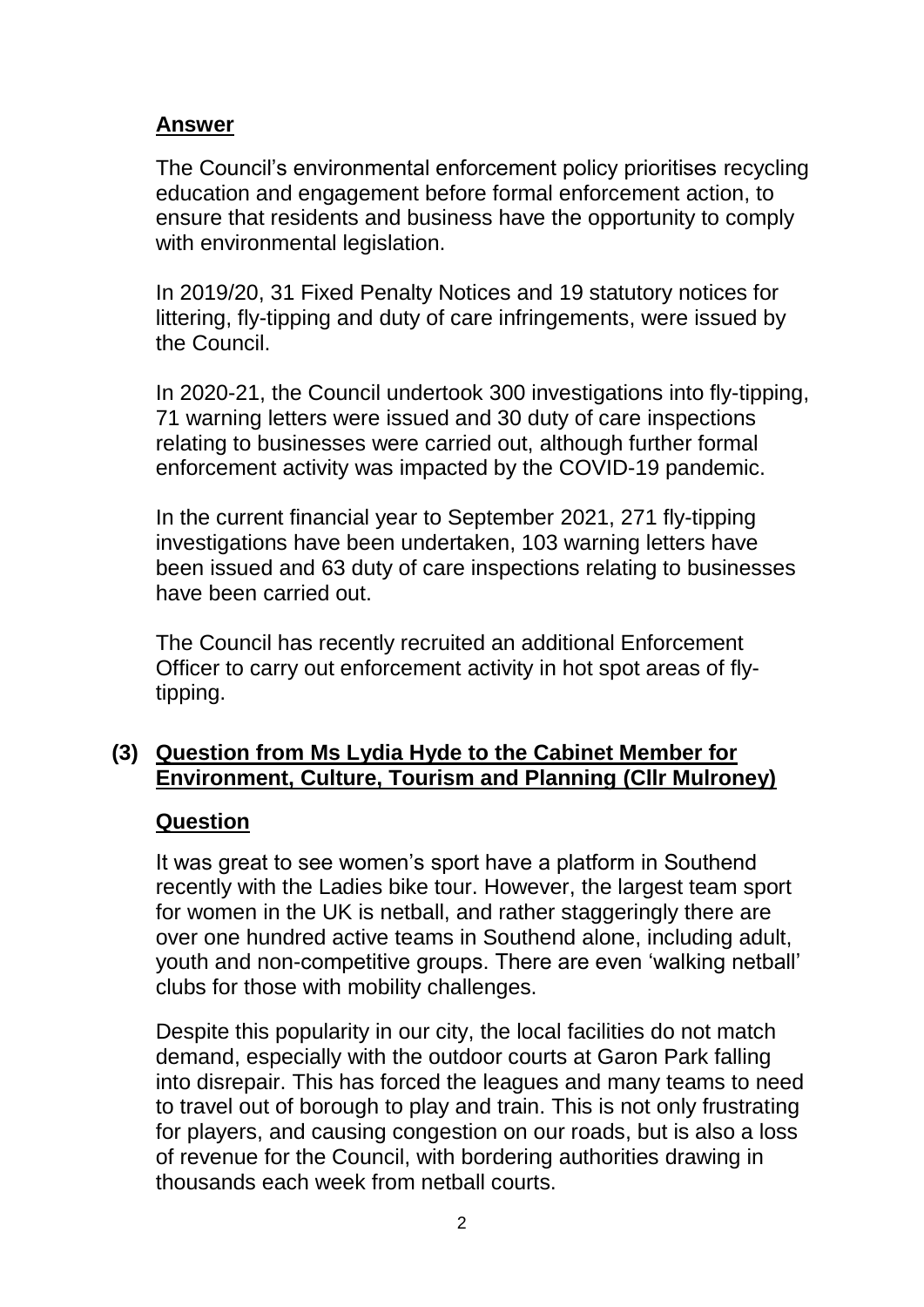The Council's environmental enforcement policy prioritises recycling education and engagement before formal enforcement action, to ensure that residents and business have the opportunity to comply with environmental legislation.

In 2019/20, 31 Fixed Penalty Notices and 19 statutory notices for littering, fly-tipping and duty of care infringements, were issued by the Council.

In 2020-21, the Council undertook 300 investigations into fly-tipping, 71 warning letters were issued and 30 duty of care inspections relating to businesses were carried out, although further formal enforcement activity was impacted by the COVID-19 pandemic.

In the current financial year to September 2021, 271 fly-tipping investigations have been undertaken, 103 warning letters have been issued and 63 duty of care inspections relating to businesses have been carried out.

The Council has recently recruited an additional Enforcement Officer to carry out enforcement activity in hot spot areas of flytipping.

### **(3) Question from Ms Lydia Hyde to the Cabinet Member for Environment, Culture, Tourism and Planning (Cllr Mulroney)**

#### **Question**

It was great to see women's sport have a platform in Southend recently with the Ladies bike tour. However, the largest team sport for women in the UK is netball, and rather staggeringly there are over one hundred active teams in Southend alone, including adult, youth and non-competitive groups. There are even 'walking netball' clubs for those with mobility challenges.

Despite this popularity in our city, the local facilities do not match demand, especially with the outdoor courts at Garon Park falling into disrepair. This has forced the leagues and many teams to need to travel out of borough to play and train. This is not only frustrating for players, and causing congestion on our roads, but is also a loss of revenue for the Council, with bordering authorities drawing in thousands each week from netball courts.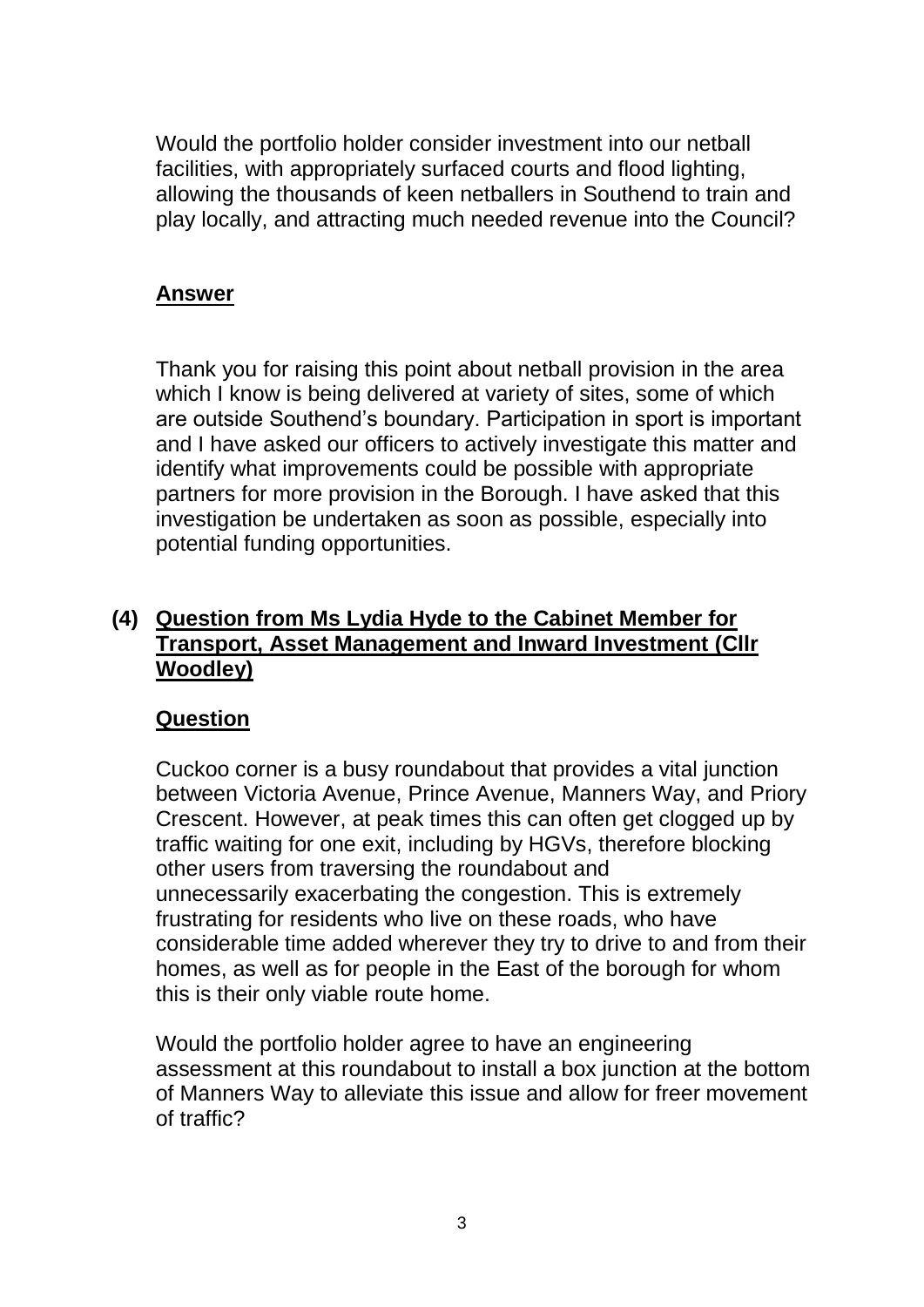Would the portfolio holder consider investment into our netball facilities, with appropriately surfaced courts and flood lighting, allowing the thousands of keen netballers in Southend to train and play locally, and attracting much needed revenue into the Council?

### **Answer**

Thank you for raising this point about netball provision in the area which I know is being delivered at variety of sites, some of which are outside Southend's boundary. Participation in sport is important and I have asked our officers to actively investigate this matter and identify what improvements could be possible with appropriate partners for more provision in the Borough. I have asked that this investigation be undertaken as soon as possible, especially into potential funding opportunities.

#### **(4) Question from Ms Lydia Hyde to the Cabinet Member for Transport, Asset Management and Inward Investment (Cllr Woodley)**

#### **Question**

Cuckoo corner is a busy roundabout that provides a vital junction between Victoria Avenue, Prince Avenue, Manners Way, and Priory Crescent. However, at peak times this can often get clogged up by traffic waiting for one exit, including by HGVs, therefore blocking other users from traversing the roundabout and unnecessarily exacerbating the congestion. This is extremely frustrating for residents who live on these roads, who have considerable time added wherever they try to drive to and from their homes, as well as for people in the East of the borough for whom this is their only viable route home.

Would the portfolio holder agree to have an engineering assessment at this roundabout to install a box junction at the bottom of Manners Way to alleviate this issue and allow for freer movement of traffic?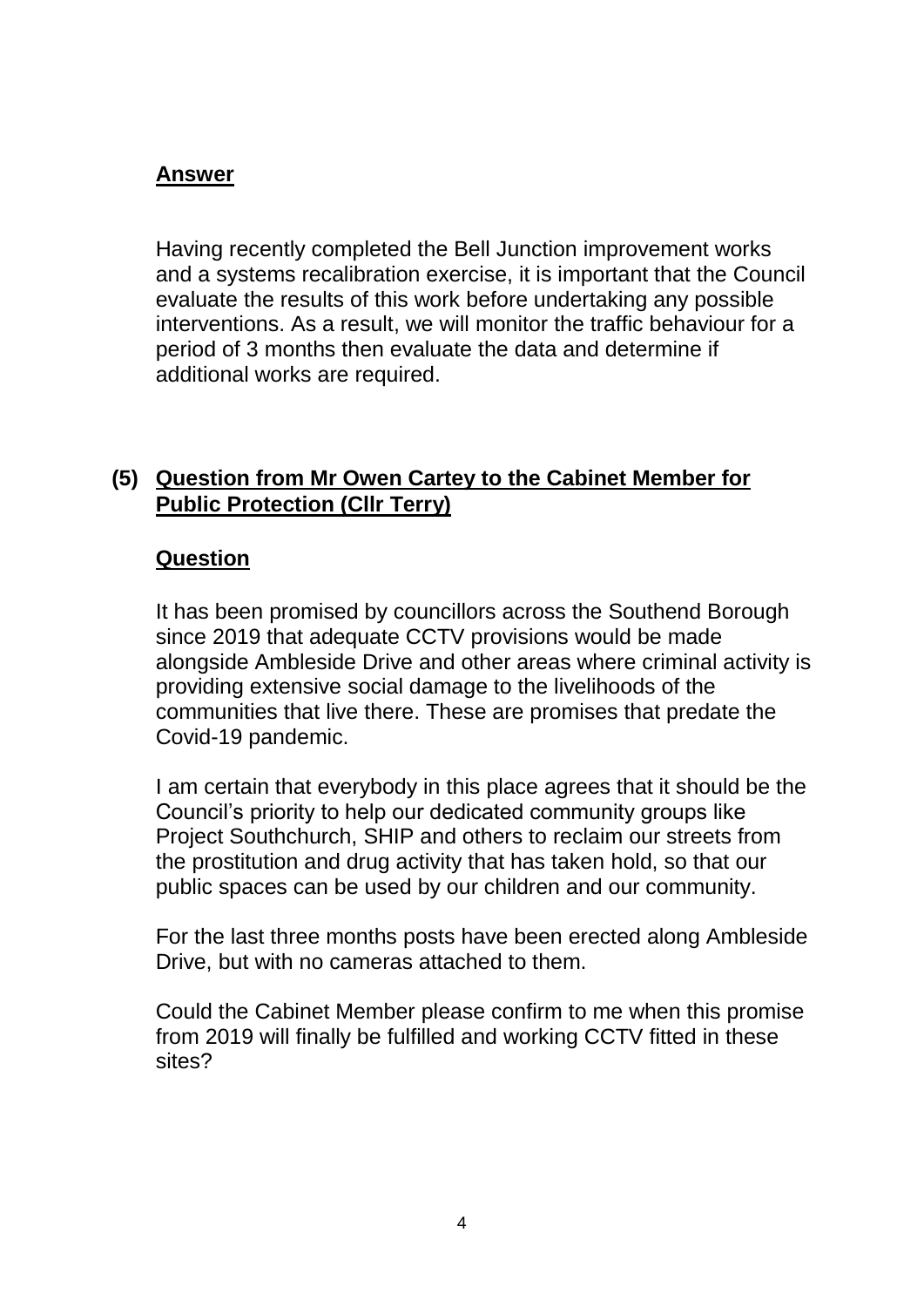Having recently completed the Bell Junction improvement works and a systems recalibration exercise, it is important that the Council evaluate the results of this work before undertaking any possible interventions. As a result, we will monitor the traffic behaviour for a period of 3 months then evaluate the data and determine if additional works are required.

### **(5) Question from Mr Owen Cartey to the Cabinet Member for Public Protection (Cllr Terry)**

### **Question**

It has been promised by councillors across the Southend Borough since 2019 that adequate CCTV provisions would be made alongside Ambleside Drive and other areas where criminal activity is providing extensive social damage to the livelihoods of the communities that live there. These are promises that predate the Covid-19 pandemic.

I am certain that everybody in this place agrees that it should be the Council's priority to help our dedicated community groups like Project Southchurch, SHIP and others to reclaim our streets from the prostitution and drug activity that has taken hold, so that our public spaces can be used by our children and our community.

For the last three months posts have been erected along Ambleside Drive, but with no cameras attached to them.

Could the Cabinet Member please confirm to me when this promise from 2019 will finally be fulfilled and working CCTV fitted in these sites?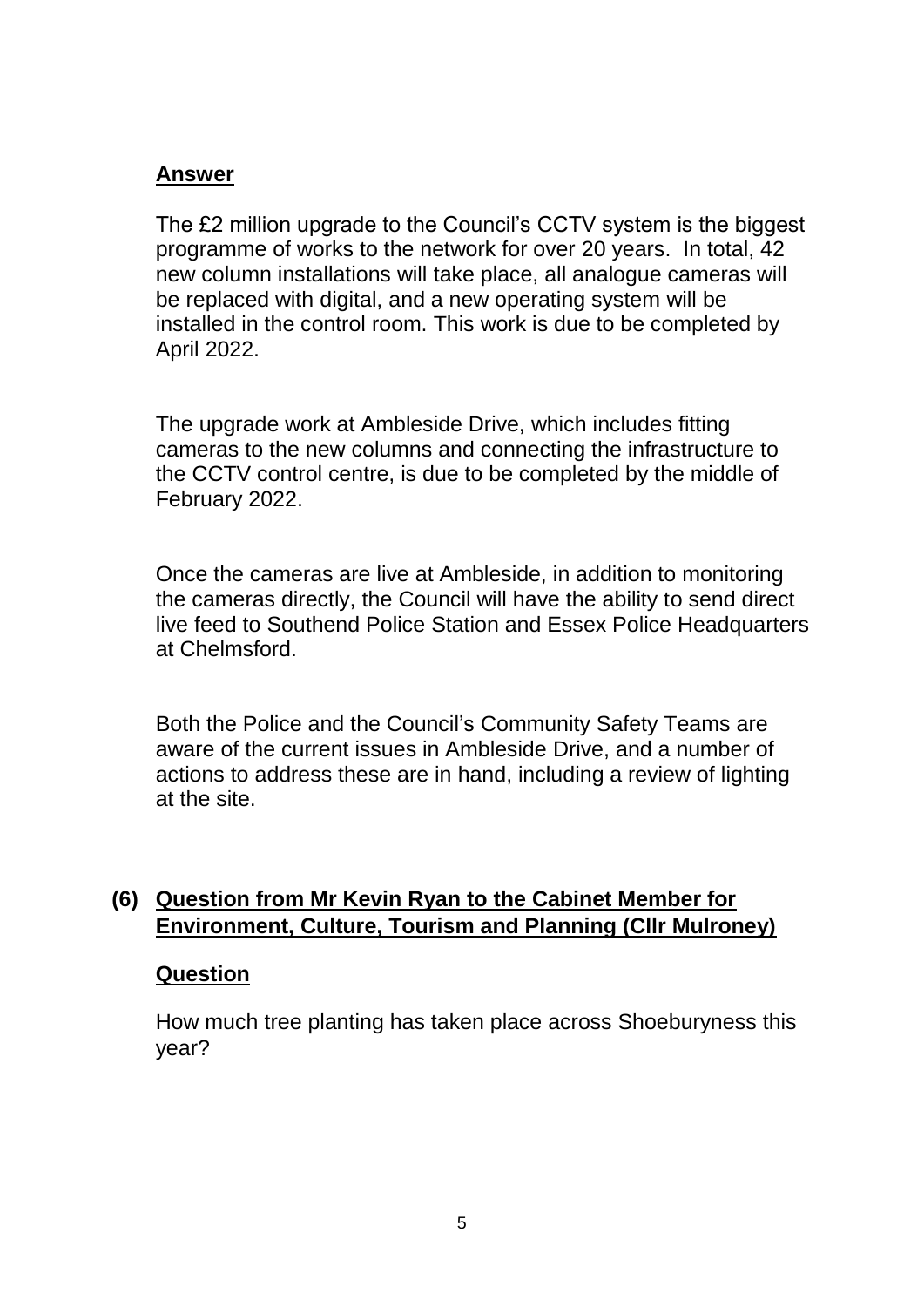The £2 million upgrade to the Council's CCTV system is the biggest programme of works to the network for over 20 years. In total, 42 new column installations will take place, all analogue cameras will be replaced with digital, and a new operating system will be installed in the control room. This work is due to be completed by April 2022.

The upgrade work at Ambleside Drive, which includes fitting cameras to the new columns and connecting the infrastructure to the CCTV control centre, is due to be completed by the middle of February 2022.

Once the cameras are live at Ambleside, in addition to monitoring the cameras directly, the Council will have the ability to send direct live feed to Southend Police Station and Essex Police Headquarters at Chelmsford.

Both the Police and the Council's Community Safety Teams are aware of the current issues in Ambleside Drive, and a number of actions to address these are in hand, including a review of lighting at the site.

### **(6) Question from Mr Kevin Ryan to the Cabinet Member for Environment, Culture, Tourism and Planning (Cllr Mulroney)**

#### **Question**

How much tree planting has taken place across Shoeburyness this year?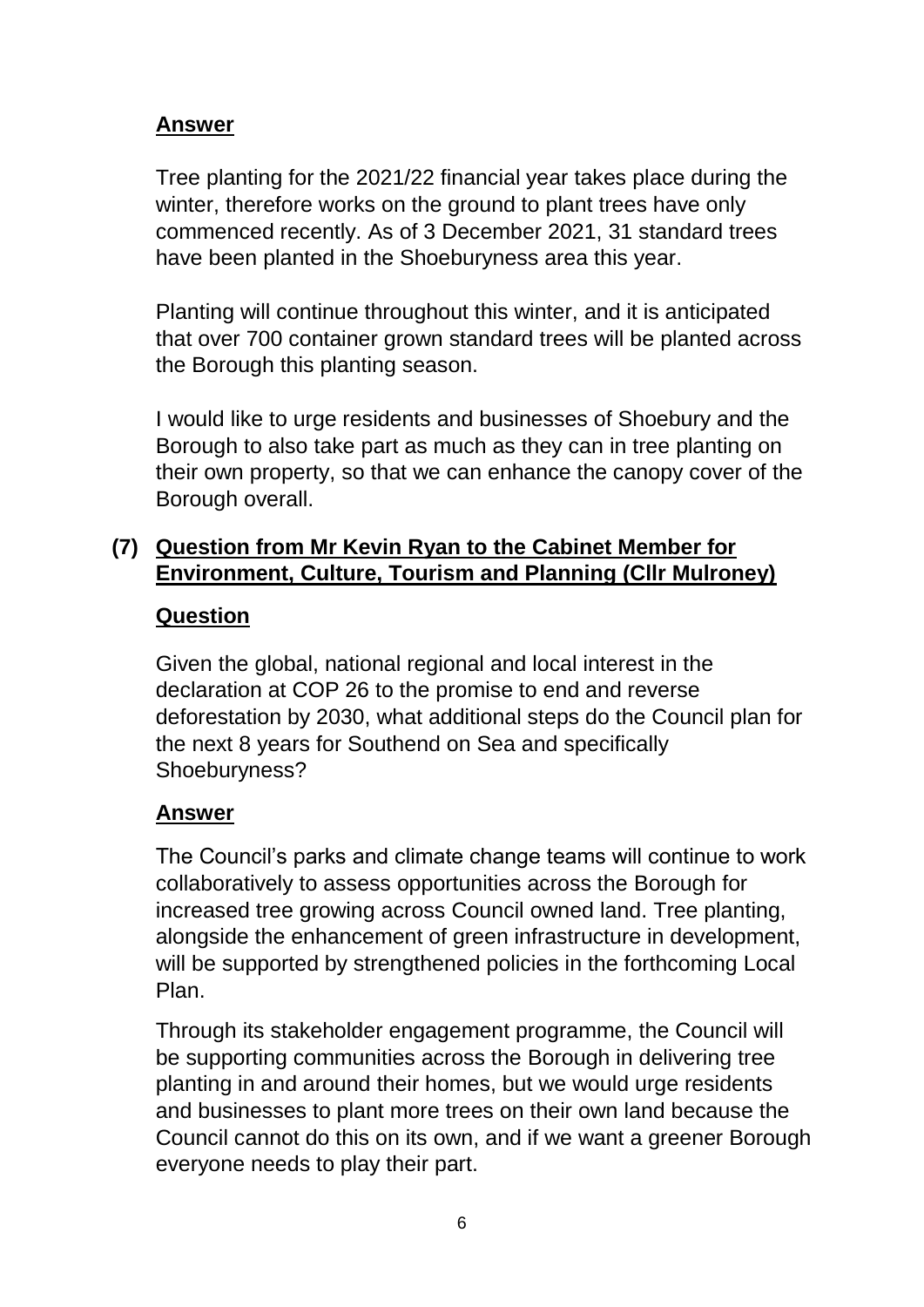Tree planting for the 2021/22 financial year takes place during the winter, therefore works on the ground to plant trees have only commenced recently. As of 3 December 2021, 31 standard trees have been planted in the Shoeburyness area this year.

Planting will continue throughout this winter, and it is anticipated that over 700 container grown standard trees will be planted across the Borough this planting season.

I would like to urge residents and businesses of Shoebury and the Borough to also take part as much as they can in tree planting on their own property, so that we can enhance the canopy cover of the Borough overall.

### **(7) Question from Mr Kevin Ryan to the Cabinet Member for Environment, Culture, Tourism and Planning (Cllr Mulroney)**

### **Question**

Given the global, national regional and local interest in the declaration at COP 26 to the promise to end and reverse deforestation by 2030, what additional steps do the Council plan for the next 8 years for Southend on Sea and specifically Shoeburyness?

#### **Answer**

The Council's parks and climate change teams will continue to work collaboratively to assess opportunities across the Borough for increased tree growing across Council owned land. Tree planting, alongside the enhancement of green infrastructure in development, will be supported by strengthened policies in the forthcoming Local Plan.

Through its stakeholder engagement programme, the Council will be supporting communities across the Borough in delivering tree planting in and around their homes, but we would urge residents and businesses to plant more trees on their own land because the Council cannot do this on its own, and if we want a greener Borough everyone needs to play their part.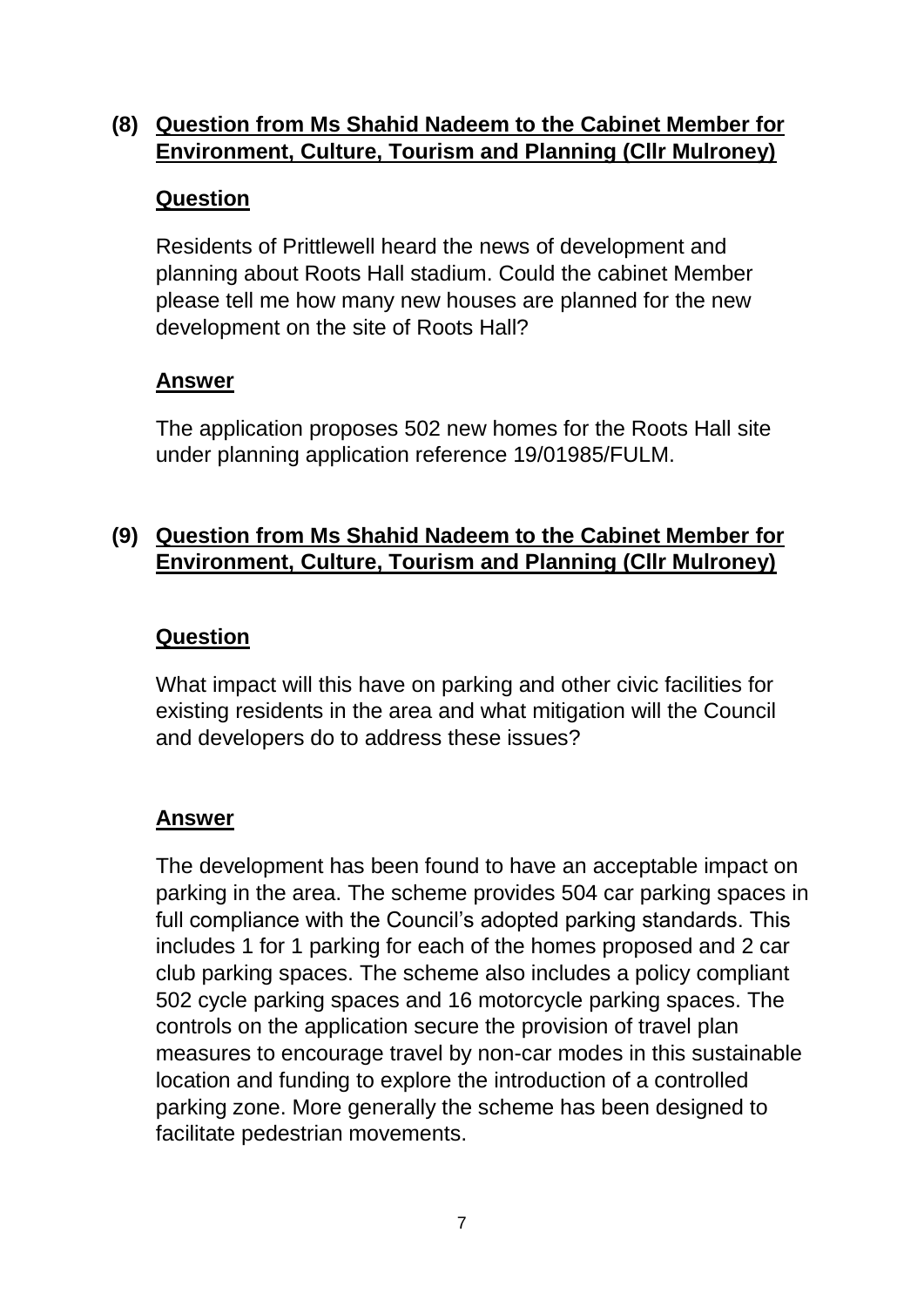### **(8) Question from Ms Shahid Nadeem to the Cabinet Member for Environment, Culture, Tourism and Planning (Cllr Mulroney)**

### **Question**

Residents of Prittlewell heard the news of development and planning about Roots Hall stadium. Could the cabinet Member please tell me how many new houses are planned for the new development on the site of Roots Hall?

## **Answer**

The application proposes 502 new homes for the Roots Hall site under planning application reference 19/01985/FULM.

# **(9) Question from Ms Shahid Nadeem to the Cabinet Member for Environment, Culture, Tourism and Planning (Cllr Mulroney)**

## **Question**

What impact will this have on parking and other civic facilities for existing residents in the area and what mitigation will the Council and developers do to address these issues?

### **Answer**

The development has been found to have an acceptable impact on parking in the area. The scheme provides 504 car parking spaces in full compliance with the Council's adopted parking standards. This includes 1 for 1 parking for each of the homes proposed and 2 car club parking spaces. The scheme also includes a policy compliant 502 cycle parking spaces and 16 motorcycle parking spaces. The controls on the application secure the provision of travel plan measures to encourage travel by non-car modes in this sustainable location and funding to explore the introduction of a controlled parking zone. More generally the scheme has been designed to facilitate pedestrian movements.